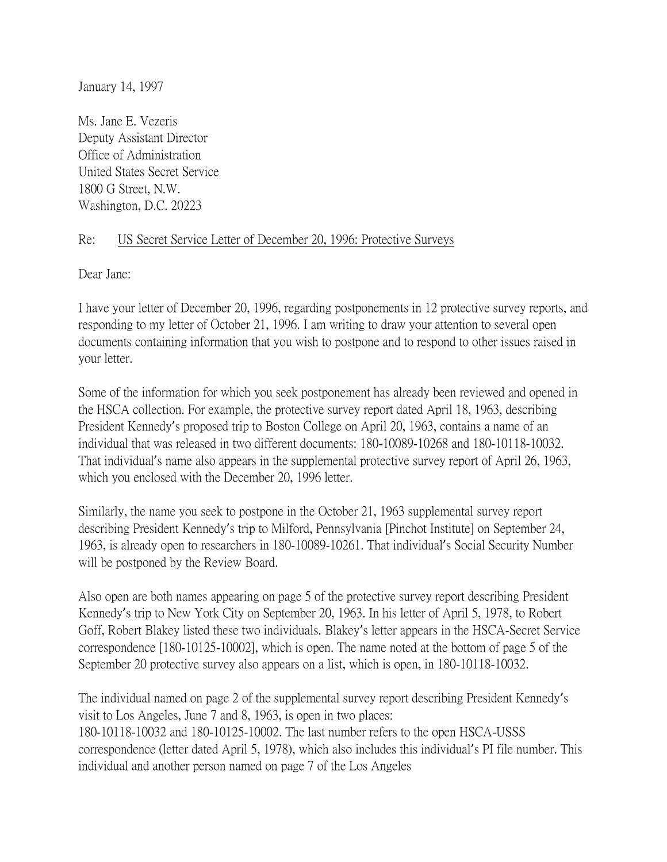January 14, 1997

Ms. Jane E. Vezeris Deputy Assistant Director Office of Administration United States Secret Service 1800 G Street, N.W. Washington, D.C. 20223

## Re: US Secret Service Letter of December 20, 1996: Protective Surveys

Dear Jane:

I have your letter of December 20, 1996, regarding postponements in 12 protective survey reports, and responding to my letter of October 21, 1996. I am writing to draw your attention to several open documents containing information that you wish to postpone and to respond to other issues raised in your letter.

Some of the information for which you seek postponement has already been reviewed and opened in the HSCA collection. For example, the protective survey report dated April 18, 1963, describing President Kennedy's proposed trip to Boston College on April 20, 1963, contains a name of an individual that was released in two different documents: 180-10089-10268 and 180-10118-10032. That individual's name also appears in the supplemental protective survey report of April 26, 1963, which you enclosed with the December 20, 1996 letter.

Similarly, the name you seek to postpone in the October 21, 1963 supplemental survey report describing President Kennedy's trip to Milford, Pennsylvania [Pinchot Institute] on September 24, 1963, is already open to researchers in 180-10089-10261. That individual's Social Security Number will be postponed by the Review Board.

Also open are both names appearing on page 5 of the protective survey report describing President Kennedy's trip to New York City on September 20, 1963. In his letter of April 5, 1978, to Robert Goff, Robert Blakey listed these two individuals. Blakey's letter appears in the HSCA-Secret Service correspondence [180-10125-10002], which is open. The name noted at the bottom of page 5 of the September 20 protective survey also appears on a list, which is open, in 180-10118-10032.

The individual named on page 2 of the supplemental survey report describing President Kennedy's visit to Los Angeles, June 7 and 8, 1963, is open in two places: 180-10118-10032 and 180-10125-10002. The last number refers to the open HSCA-USSS correspondence (letter dated April 5, 1978), which also includes this individual's PI file number. This individual and another person named on page 7 of the Los Angeles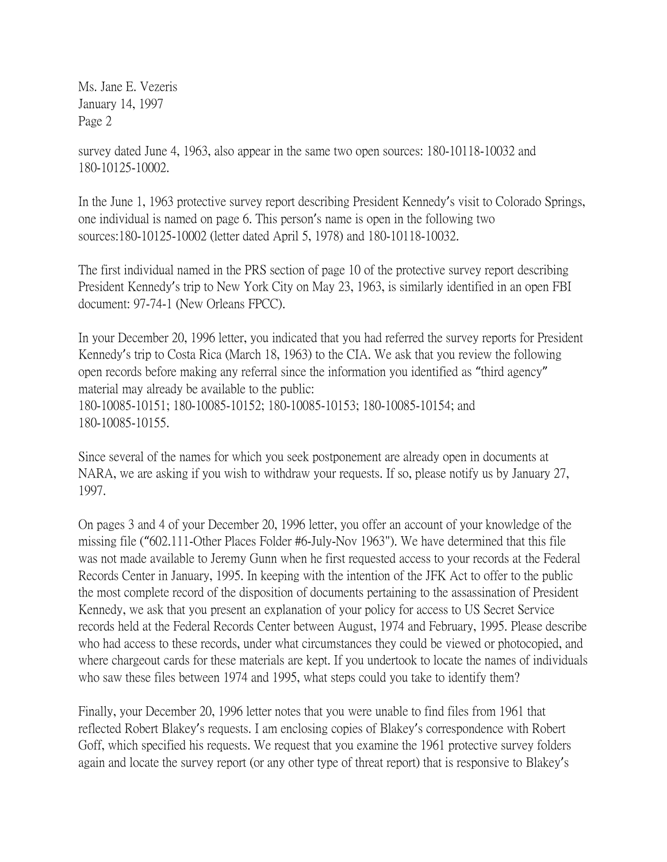Ms. Jane E. Vezeris January 14, 1997 Page 2

survey dated June 4, 1963, also appear in the same two open sources: 180-10118-10032 and 180-10125-10002.

In the June 1, 1963 protective survey report describing President Kennedy's visit to Colorado Springs, one individual is named on page 6. This person's name is open in the following two sources:180-10125-10002 (letter dated April 5, 1978) and 180-10118-10032.

The first individual named in the PRS section of page 10 of the protective survey report describing President Kennedy's trip to New York City on May 23, 1963, is similarly identified in an open FBI document: 97-74-1 (New Orleans FPCC).

In your December 20, 1996 letter, you indicated that you had referred the survey reports for President Kennedy's trip to Costa Rica (March 18, 1963) to the CIA. We ask that you review the following open records before making any referral since the information you identified as "third agency" material may already be available to the public: 180-10085-10151; 180-10085-10152; 180-10085-10153; 180-10085-10154; and 180-10085-10155.

Since several of the names for which you seek postponement are already open in documents at NARA, we are asking if you wish to withdraw your requests. If so, please notify us by January 27, 1997.

On pages 3 and 4 of your December 20, 1996 letter, you offer an account of your knowledge of the missing file ("602.111-Other Places Folder #6-July-Nov 1963"). We have determined that this file was not made available to Jeremy Gunn when he first requested access to your records at the Federal Records Center in January, 1995. In keeping with the intention of the JFK Act to offer to the public the most complete record of the disposition of documents pertaining to the assassination of President Kennedy, we ask that you present an explanation of your policy for access to US Secret Service records held at the Federal Records Center between August, 1974 and February, 1995. Please describe who had access to these records, under what circumstances they could be viewed or photocopied, and where chargeout cards for these materials are kept. If you undertook to locate the names of individuals who saw these files between 1974 and 1995, what steps could you take to identify them?

Finally, your December 20, 1996 letter notes that you were unable to find files from 1961 that reflected Robert Blakey's requests. I am enclosing copies of Blakey's correspondence with Robert Goff, which specified his requests. We request that you examine the 1961 protective survey folders again and locate the survey report (or any other type of threat report) that is responsive to Blakey's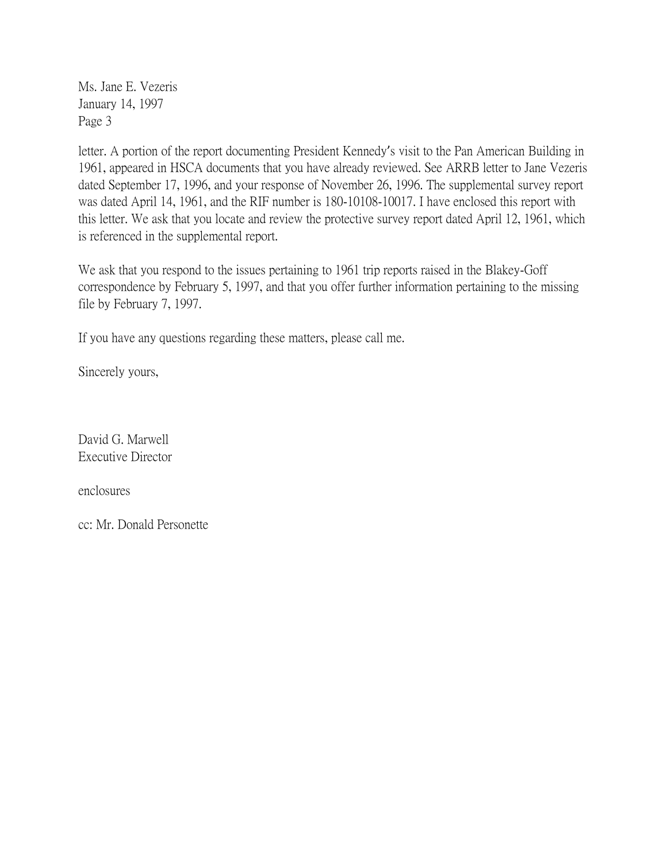Ms. Jane E. Vezeris January 14, 1997 Page 3

letter. A portion of the report documenting President Kennedy's visit to the Pan American Building in 1961, appeared in HSCA documents that you have already reviewed. See ARRB letter to Jane Vezeris dated September 17, 1996, and your response of November 26, 1996. The supplemental survey report was dated April 14, 1961, and the RIF number is 180-10108-10017. I have enclosed this report with this letter. We ask that you locate and review the protective survey report dated April 12, 1961, which is referenced in the supplemental report.

We ask that you respond to the issues pertaining to 1961 trip reports raised in the Blakey-Goff correspondence by February 5, 1997, and that you offer further information pertaining to the missing file by February 7, 1997.

If you have any questions regarding these matters, please call me.

Sincerely yours,

David G. Marwell Executive Director

enclosures

cc: Mr. Donald Personette